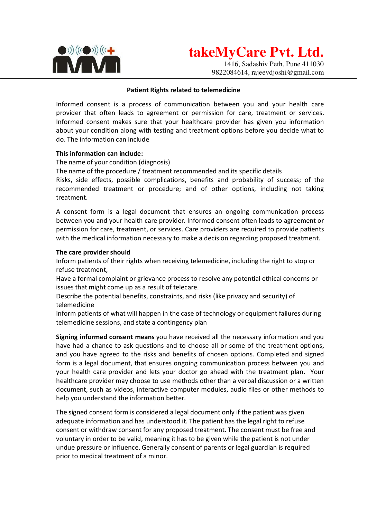

## **Patient Rights related to telemedicine**

Informed consent is a process of communication between you and your health care provider that often leads to agreement or permission for care, treatment or services. Informed consent makes sure that your healthcare provider has given you information about your condition along with testing and treatment options before you decide what to do. The information can include

## **This information can include:**

The name of your condition (diagnosis)

The name of the procedure / treatment recommended and its specific details

Risks, side effects, possible complications, benefits and probability of success; of the recommended treatment or procedure; and of other options, including not taking treatment.

A consent form is a legal document that ensures an ongoing communication process between you and your health care provider. Informed consent often leads to agreement or permission for care, treatment, or services. Care providers are required to provide patients with the medical information necessary to make a decision regarding proposed treatment.

## **The care provider should**

Inform patients of their rights when receiving telemedicine, including the right to stop or refuse treatment,

Have a formal complaint or grievance process to resolve any potential ethical concerns or issues that might come up as a result of telecare.

Describe the potential benefits, constraints, and risks (like privacy and security) of telemedicine

Inform patients of what will happen in the case of technology or equipment failures during telemedicine sessions, and state a contingency plan

**Signing informed consent means** you have received all the necessary information and you have had a chance to ask questions and to choose all or some of the treatment options, and you have agreed to the risks and benefits of chosen options. Completed and signed form is a legal document, that ensures ongoing communication process between you and your health care provider and lets your doctor go ahead with the treatment plan. Your healthcare provider may choose to use methods other than a verbal discussion or a written document, such as videos, interactive computer modules, audio files or other methods to help you understand the information better.

The signed consent form is considered a legal document only if the patient was given adequate information and has understood it. The patient has the legal right to refuse consent or withdraw consent for any proposed treatment. The consent must be free and voluntary in order to be valid, meaning it has to be given while the patient is not under undue pressure or influence. Generally consent of parents or legal guardian is required prior to medical treatment of a minor.